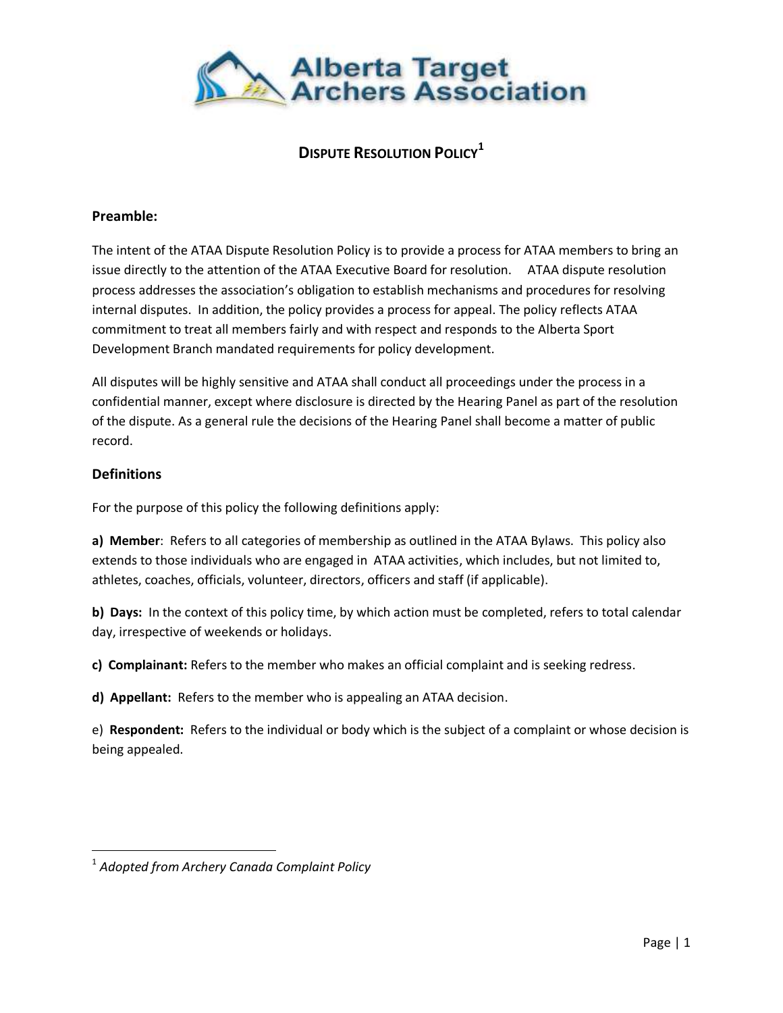

# **DISPUTE RESOLUTION POLICY<sup>1</sup>**

#### **Preamble:**

The intent of the ATAA Dispute Resolution Policy is to provide a process for ATAA members to bring an issue directly to the attention of the ATAA Executive Board for resolution. ATAA dispute resolution process addresses the association's obligation to establish mechanisms and procedures for resolving internal disputes. In addition, the policy provides a process for appeal. The policy reflects ATAA commitment to treat all members fairly and with respect and responds to the Alberta Sport Development Branch mandated requirements for policy development.

All disputes will be highly sensitive and ATAA shall conduct all proceedings under the process in a confidential manner, except where disclosure is directed by the Hearing Panel as part of the resolution of the dispute. As a general rule the decisions of the Hearing Panel shall become a matter of public record.

#### **Definitions**

 $\overline{\phantom{a}}$ 

For the purpose of this policy the following definitions apply:

**a) Member**: Refers to all categories of membership as outlined in the ATAA Bylaws. This policy also extends to those individuals who are engaged in ATAA activities, which includes, but not limited to, athletes, coaches, officials, volunteer, directors, officers and staff (if applicable).

**b) Days:** In the context of this policy time, by which action must be completed, refers to total calendar day, irrespective of weekends or holidays.

**c) Complainant:** Refers to the member who makes an official complaint and is seeking redress.

**d) Appellant:** Refers to the member who is appealing an ATAA decision.

e) **Respondent:** Refers to the individual or body which is the subject of a complaint or whose decision is being appealed.

<sup>1</sup> *Adopted from Archery Canada Complaint Policy*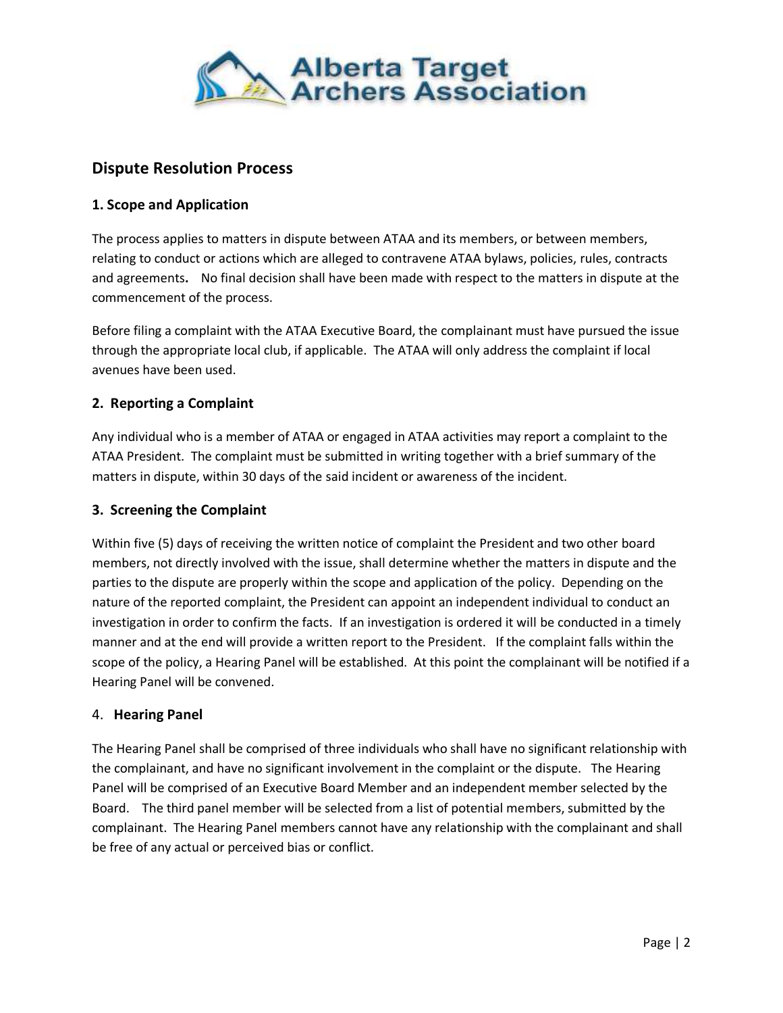

# **Dispute Resolution Process**

#### **1. Scope and Application**

The process applies to matters in dispute between ATAA and its members, or between members, relating to conduct or actions which are alleged to contravene ATAA bylaws, policies, rules, contracts and agreements**.** No final decision shall have been made with respect to the matters in dispute at the commencement of the process.

Before filing a complaint with the ATAA Executive Board, the complainant must have pursued the issue through the appropriate local club, if applicable. The ATAA will only address the complaint if local avenues have been used.

#### **2. Reporting a Complaint**

Any individual who is a member of ATAA or engaged in ATAA activities may report a complaint to the ATAA President. The complaint must be submitted in writing together with a brief summary of the matters in dispute, within 30 days of the said incident or awareness of the incident.

#### **3. Screening the Complaint**

Within five (5) days of receiving the written notice of complaint the President and two other board members, not directly involved with the issue, shall determine whether the matters in dispute and the parties to the dispute are properly within the scope and application of the policy. Depending on the nature of the reported complaint, the President can appoint an independent individual to conduct an investigation in order to confirm the facts. If an investigation is ordered it will be conducted in a timely manner and at the end will provide a written report to the President. If the complaint falls within the scope of the policy, a Hearing Panel will be established. At this point the complainant will be notified if a Hearing Panel will be convened.

#### 4. **Hearing Panel**

The Hearing Panel shall be comprised of three individuals who shall have no significant relationship with the complainant, and have no significant involvement in the complaint or the dispute. The Hearing Panel will be comprised of an Executive Board Member and an independent member selected by the Board. The third panel member will be selected from a list of potential members, submitted by the complainant. The Hearing Panel members cannot have any relationship with the complainant and shall be free of any actual or perceived bias or conflict.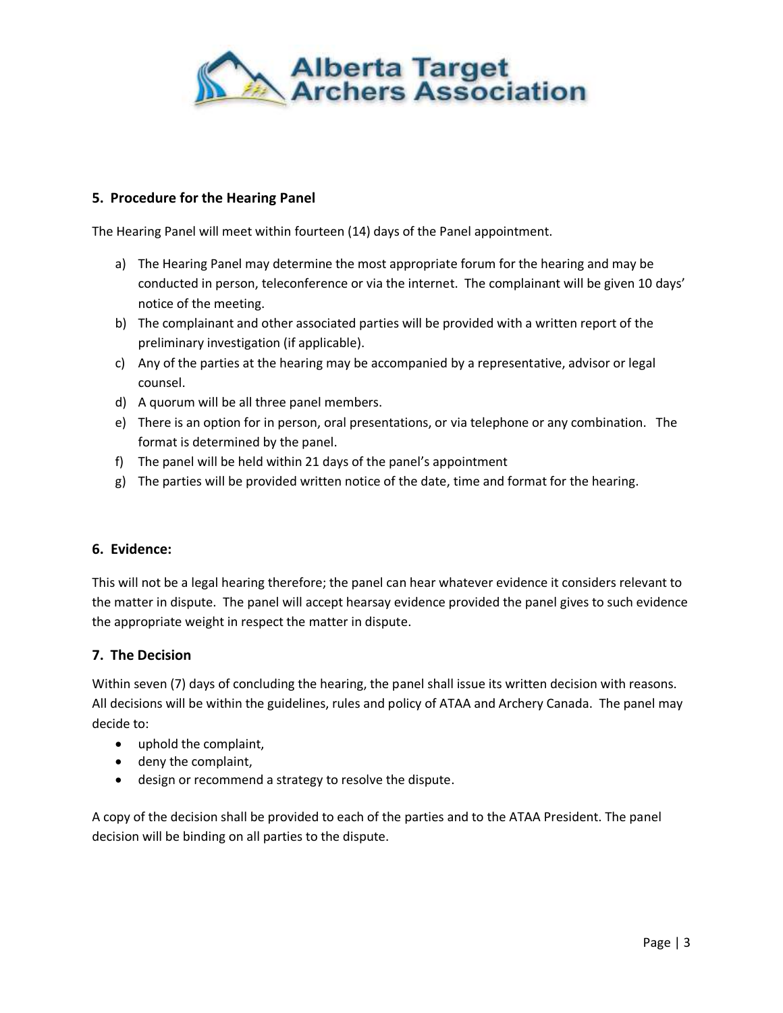

## **5. Procedure for the Hearing Panel**

The Hearing Panel will meet within fourteen (14) days of the Panel appointment.

- a) The Hearing Panel may determine the most appropriate forum for the hearing and may be conducted in person, teleconference or via the internet. The complainant will be given 10 days' notice of the meeting.
- b) The complainant and other associated parties will be provided with a written report of the preliminary investigation (if applicable).
- c) Any of the parties at the hearing may be accompanied by a representative, advisor or legal counsel.
- d) A quorum will be all three panel members.
- e) There is an option for in person, oral presentations, or via telephone or any combination. The format is determined by the panel.
- f) The panel will be held within 21 days of the panel's appointment
- g) The parties will be provided written notice of the date, time and format for the hearing.

## **6. Evidence:**

This will not be a legal hearing therefore; the panel can hear whatever evidence it considers relevant to the matter in dispute. The panel will accept hearsay evidence provided the panel gives to such evidence the appropriate weight in respect the matter in dispute.

## **7. The Decision**

Within seven (7) days of concluding the hearing, the panel shall issue its written decision with reasons. All decisions will be within the guidelines, rules and policy of ATAA and Archery Canada. The panel may decide to:

- uphold the complaint,
- deny the complaint,
- design or recommend a strategy to resolve the dispute.

A copy of the decision shall be provided to each of the parties and to the ATAA President. The panel decision will be binding on all parties to the dispute.